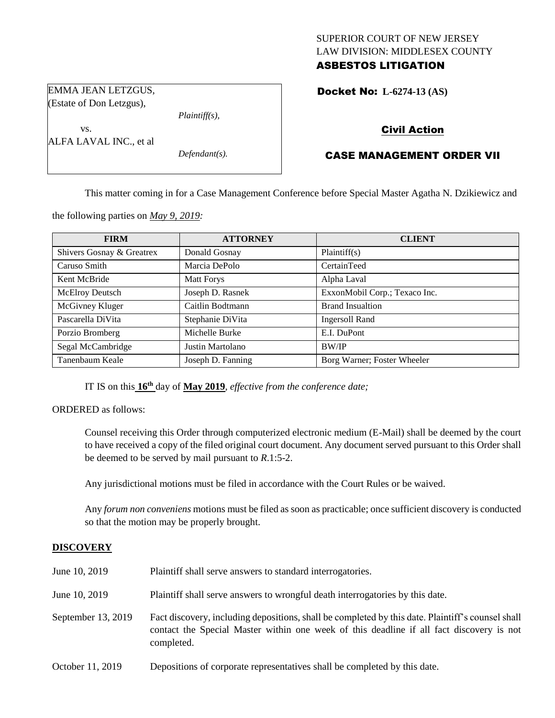## SUPERIOR COURT OF NEW JERSEY LAW DIVISION: MIDDLESEX COUNTY ASBESTOS LITIGATION

*Plaintiff(s),*

*Defendant(s).*

Docket No: **L-6274-13 (AS)** 

# Civil Action

# CASE MANAGEMENT ORDER VII

This matter coming in for a Case Management Conference before Special Master Agatha N. Dzikiewicz and

the following parties on *May 9, 2019:*

EMMA JEAN LETZGUS, (Estate of Don Letzgus),

ALFA LAVAL INC., et al

vs.

| <b>FIRM</b>               | <b>ATTORNEY</b>   | <b>CLIENT</b>                 |
|---------------------------|-------------------|-------------------------------|
| Shivers Gosnay & Greatrex | Donald Gosnay     | Plaintiff(s)                  |
| Caruso Smith              | Marcia DePolo     | CertainTeed                   |
| Kent McBride              | <b>Matt Forys</b> | Alpha Laval                   |
| <b>McElroy Deutsch</b>    | Joseph D. Rasnek  | ExxonMobil Corp.; Texaco Inc. |
| McGivney Kluger           | Caitlin Bodtmann  | <b>Brand Insualtion</b>       |
| Pascarella DiVita         | Stephanie DiVita  | <b>Ingersoll Rand</b>         |
| Porzio Bromberg           | Michelle Burke    | E.I. DuPont                   |
| Segal McCambridge         | Justin Martolano  | <b>BW/IP</b>                  |
| Tanenbaum Keale           | Joseph D. Fanning | Borg Warner; Foster Wheeler   |

IT IS on this  $16<sup>th</sup>$  day of May 2019, *effective from the conference date*;

ORDERED as follows:

Counsel receiving this Order through computerized electronic medium (E-Mail) shall be deemed by the court to have received a copy of the filed original court document. Any document served pursuant to this Order shall be deemed to be served by mail pursuant to *R*.1:5-2.

Any jurisdictional motions must be filed in accordance with the Court Rules or be waived.

Any *forum non conveniens* motions must be filed as soon as practicable; once sufficient discovery is conducted so that the motion may be properly brought.

## **DISCOVERY**

| June 10, 2019      | Plaintiff shall serve answers to standard interrogatories.                                                                                                                                                  |
|--------------------|-------------------------------------------------------------------------------------------------------------------------------------------------------------------------------------------------------------|
| June 10, 2019      | Plaintiff shall serve answers to wrongful death interrogatories by this date.                                                                                                                               |
| September 13, 2019 | Fact discovery, including depositions, shall be completed by this date. Plaintiff's counsel shall<br>contact the Special Master within one week of this deadline if all fact discovery is not<br>completed. |
| October 11, 2019   | Depositions of corporate representatives shall be completed by this date.                                                                                                                                   |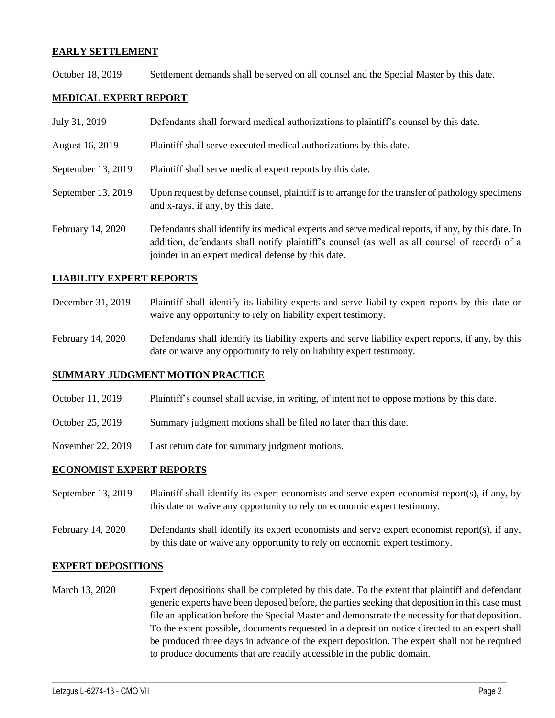#### **EARLY SETTLEMENT**

October 18, 2019 Settlement demands shall be served on all counsel and the Special Master by this date.

## **MEDICAL EXPERT REPORT**

| July 31, 2019      | Defendants shall forward medical authorizations to plaintiff's counsel by this date.                                                                                                                                                                     |
|--------------------|----------------------------------------------------------------------------------------------------------------------------------------------------------------------------------------------------------------------------------------------------------|
| August 16, 2019    | Plaintiff shall serve executed medical authorizations by this date.                                                                                                                                                                                      |
| September 13, 2019 | Plaintiff shall serve medical expert reports by this date.                                                                                                                                                                                               |
| September 13, 2019 | Upon request by defense counsel, plaintiff is to arrange for the transfer of pathology specimens<br>and x-rays, if any, by this date.                                                                                                                    |
| February 14, 2020  | Defendants shall identify its medical experts and serve medical reports, if any, by this date. In<br>addition, defendants shall notify plaintiff's counsel (as well as all counsel of record) of a<br>joinder in an expert medical defense by this date. |

#### **LIABILITY EXPERT REPORTS**

- December 31, 2019 Plaintiff shall identify its liability experts and serve liability expert reports by this date or waive any opportunity to rely on liability expert testimony.
- February 14, 2020 Defendants shall identify its liability experts and serve liability expert reports, if any, by this date or waive any opportunity to rely on liability expert testimony.

#### **SUMMARY JUDGMENT MOTION PRACTICE**

- October 11, 2019 Plaintiff's counsel shall advise, in writing, of intent not to oppose motions by this date.
- October 25, 2019 Summary judgment motions shall be filed no later than this date.
- November 22, 2019 Last return date for summary judgment motions.

#### **ECONOMIST EXPERT REPORTS**

- September 13, 2019 Plaintiff shall identify its expert economists and serve expert economist report(s), if any, by this date or waive any opportunity to rely on economic expert testimony.
- February 14, 2020 Defendants shall identify its expert economists and serve expert economist report(s), if any, by this date or waive any opportunity to rely on economic expert testimony.

#### **EXPERT DEPOSITIONS**

March 13, 2020 Expert depositions shall be completed by this date. To the extent that plaintiff and defendant generic experts have been deposed before, the parties seeking that deposition in this case must file an application before the Special Master and demonstrate the necessity for that deposition. To the extent possible, documents requested in a deposition notice directed to an expert shall be produced three days in advance of the expert deposition. The expert shall not be required to produce documents that are readily accessible in the public domain.

 $\_$  , and the set of the set of the set of the set of the set of the set of the set of the set of the set of the set of the set of the set of the set of the set of the set of the set of the set of the set of the set of th